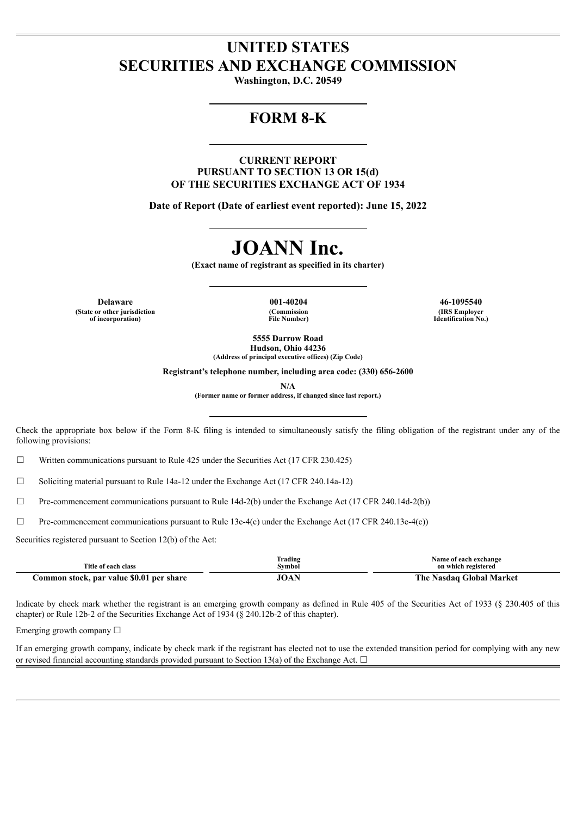## **UNITED STATES SECURITIES AND EXCHANGE COMMISSION**

**Washington, D.C. 20549**

## **FORM 8-K**

**CURRENT REPORT PURSUANT TO SECTION 13 OR 15(d) OF THE SECURITIES EXCHANGE ACT OF 1934**

**Date of Report (Date of earliest event reported): June 15, 2022**

# **JOANN Inc.**

**(Exact name of registrant as specified in its charter)**

**Delaware 001-40204 46-1095540 (State or other jurisdiction of incorporation)**

**(Commission File Number)**

**(IRS Employer Identification No.)**

**5555 Darrow Road Hudson, Ohio 44236 (Address of principal executive offices) (Zip Code)**

**Registrant's telephone number, including area code: (330) 656-2600**

**N/A**

**(Former name or former address, if changed since last report.)**

Check the appropriate box below if the Form 8-K filing is intended to simultaneously satisfy the filing obligation of the registrant under any of the following provisions:

 $\Box$  Written communications pursuant to Rule 425 under the Securities Act (17 CFR 230.425)

☐ Soliciting material pursuant to Rule 14a-12 under the Exchange Act (17 CFR 240.14a-12)

 $\Box$  Pre-commencement communications pursuant to Rule 14d-2(b) under the Exchange Act (17 CFR 240.14d-2(b))

 $\Box$  Pre-commencement communications pursuant to Rule 13e-4(c) under the Exchange Act (17 CFR 240.13e-4(c))

Securities registered pursuant to Section 12(b) of the Act:

| Title of each class                      | Trading<br>Svmbol | Name of each exchange<br>on which registered |
|------------------------------------------|-------------------|----------------------------------------------|
| Common stock, par value \$0.01 per share | JOAN              | The Nasdag Global Market                     |

Indicate by check mark whether the registrant is an emerging growth company as defined in Rule 405 of the Securities Act of 1933 (§ 230.405 of this chapter) or Rule 12b-2 of the Securities Exchange Act of 1934 (§ 240.12b-2 of this chapter).

Emerging growth company  $\Box$ 

If an emerging growth company, indicate by check mark if the registrant has elected not to use the extended transition period for complying with any new or revised financial accounting standards provided pursuant to Section 13(a) of the Exchange Act.  $\Box$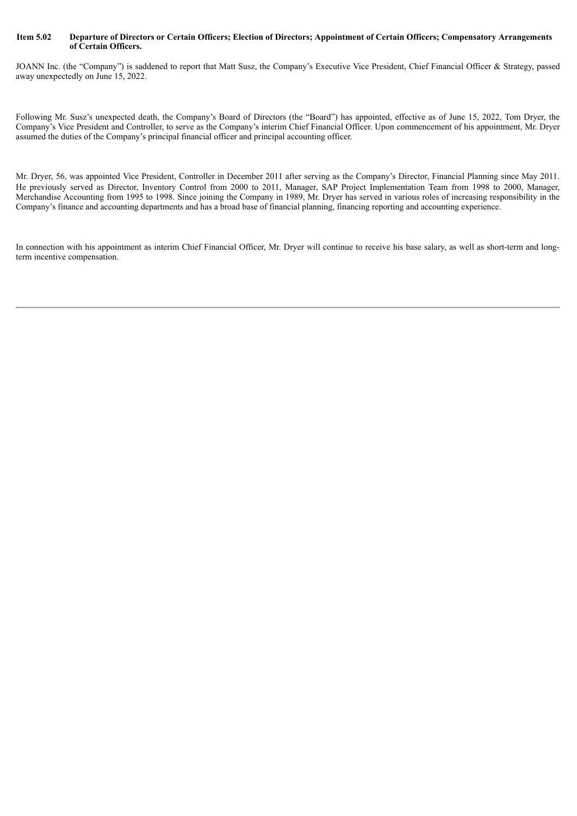#### Item 5.02 Departure of Directors or Certain Officers; Election of Directors; Appointment of Certain Officers; Compensatory Arrangements **of Certain Officers.**

JOANN Inc. (the "Company") is saddened to report that Matt Susz, the Company's Executive Vice President, Chief Financial Officer & Strategy, passed away unexpectedly on June 15, 2022.

Following Mr. Susz's unexpected death, the Company's Board of Directors (the "Board") has appointed, effective as of June 15, 2022, Tom Dryer, the Company's Vice President and Controller, to serve as the Company's interim Chief Financial Officer. Upon commencement of his appointment, Mr. Dryer assumed the duties of the Company's principal financial officer and principal accounting officer.

Mr. Dryer, 56, was appointed Vice President, Controller in December 2011 after serving as the Company's Director, Financial Planning since May 2011. He previously served as Director, Inventory Control from 2000 to 2011, Manager, SAP Project Implementation Team from 1998 to 2000, Manager, Merchandise Accounting from 1995 to 1998. Since joining the Company in 1989, Mr. Dryer has served in various roles of increasing responsibility in the Company's finance and accounting departments and has a broad base of financial planning, financing reporting and accounting experience.

In connection with his appointment as interim Chief Financial Officer, Mr. Dryer will continue to receive his base salary, as well as short-term and longterm incentive compensation.